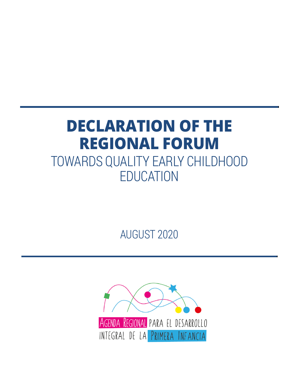# **DECLARATION OF THE REGIONAL FORUM** TOWARDS QUALITY EARLY CHILDHOOD EDUCATION

AUGUST 2020

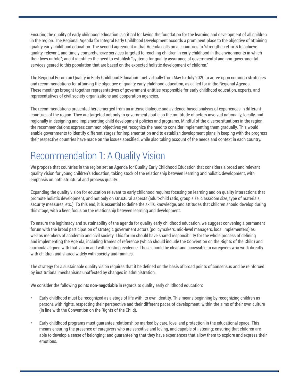<span id="page-1-0"></span>Ensuring the quality of early childhood education is critical for laying the foundation for the learning and development of all children in the region. The Regional Agenda for Integral Early Childhood Development accords a prominent place to the objective of attaining quality early childhood education. The second agreement in that Agenda calls on all countries to "strengthen efforts to achieve quality, relevant, and timely comprehensive services targeted to reaching children in early childhood in the environments in which their lives unfold"; and it identifies the need to establish "systems for quality assurance of governmental and non-governmental services geared to this population that are based on the expected holistic development of children."

The Regional Forum on Quality in Early Childhood Education' met virtually from May to July 2020 to agree upon common strategies and recommendations for attaining the objective of quality early childhood education, as called for in the Regional Agenda. These meetings brought together representatives of government entities responsible for early childhood education, experts, and representatives of civil society organizations and cooperation agencies.

The recommendations presented here emerged from an intense dialogue and evidence-based analysis of experiences in different countries of the region. They are targeted not only to governments but also the multitude of actors involved nationally, locally, and regionally in designing and implementing child development policies and programs. Mindful of the diverse situations in the region, the recommendations express common objectives yet recognize the need to consider implementing them gradually. This would enable governments to identify different stages for implementation and to establish development plans in keeping with the progress their respective countries have made on the issues specified, while also taking account of the needs and context in each country.

### Recommendation 1: A Quality Vision

We propose that countries in the region set an Agenda for Quality Early Childhood Education that considers a broad and relevant quality vision for young children's education, taking stock of the relationship between learning and holistic development, with emphasis on both structural and process quality.

Expanding the quality vision for education relevant to early childhood requires focusing on learning and on quality interactions that promote holistic development, and not only on structural aspects (adult-child ratio, group size, classroom size, type of materials, security measures, etc.). To this end, it is essential to define the skills, knowledge, and attitudes that children should develop during this stage, with a keen focus on the relationship between learning and development.

To ensure the legitimacy and sustainability of the agenda for quality early childhood education, we suggest convening a permanent forum with the broad participation of strategic government actors (policymakers, mid-level managers, local implementers) as well as members of academia and civil society. This forum should have shared responsibility for the whole process of defining and implementing the Agenda, including frames of reference (which should include the Convention on the Rights of the Child) and curricula aligned with that vision and with existing evidence. These should be clear and accessible to caregivers who work directly with children and shared widely with society and families.

The strategy for a sustainable quality vision requires that it be defined on the basis of broad points of consensus and be reinforced by institutional mechanisms unaffected by changes in administration.

We consider the following points **non-negotiable** in regards to quality early childhood education:

- Early childhood must be recognized as a stage of life with its own identity. This means beginning by recognizing children as persons with rights, respecting their perspective and their different paces of development, within the aims of their own culture (in line with the Convention on the Rights of the Child).
- Early childhood programs must guarantee relationships marked by care, love, and protection in the educational space. This means ensuring the presence of caregivers who are sensitive and loving, and capable of listening; ensuring that children are able to develop a sense of belonging; and guaranteeing that they have experiences that allow them to explore and express their emotions.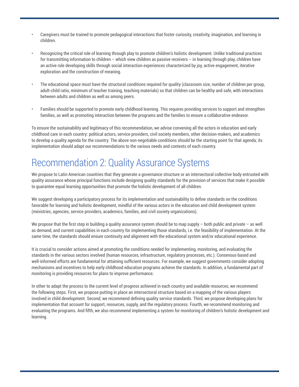- Caregivers must be trained to promote pedagogical interactions that foster curiosity, creativity, imagination, and learning in children.
- Recognizing the critical role of learning through play to promote children's holistic development. Unlike traditional practices for transmitting information to children – which view children as passive receivers – in learning through play, children have an active role developing skills through social interaction experiences characterized by joy, active engagement, iterative exploration and the construction of meaning.
- The educational space must have the structural conditions required for quality (classroom size, number of children per group, adult-child ratio, minimum of teacher training, teaching materials) so that children can be healthy and safe, with interactions between adults and children as well as among peers.
- Families should be supported to promote early childhood learning. This requires providing services to support and strengthen families, as well as promoting interaction between the programs and the families to ensure a collaborative endeavor.

To ensure the sustainability and legitimacy of this recommendation, we advise convening all the actors in education and early childhood care in each country: political actors, service providers, civil society members, other decision-makers, and academics to develop a quality agenda for the country. The above non-negotiable conditions should be the starting point for that agenda; its implementation should adapt our recommendations to the various needs and contexts of each country.

#### Recommendation 2: Quality Assurance Systems

We propose to Latin American countries that they generate a governance structure or an intersectoral collective body entrusted with quality assurance whose principal functions include designing quality standards for the provision of services that make it possible to guarantee equal learning opportunities that promote the holistic development of all children.

We suggest developing a participatory process for its implementation and sustainability to define standards on the conditions favorable for learning and holistic development, mindful of the various actors in the education and child development system (ministries, agencies, service providers, academics, families, and civil society organizations).

We propose that the first step in building a quality assurance system should be to map supply – both public and private – as well as demand, and current capabilities in each country for implementing those standards, i.e. the feasibility of implementation. At the same time, the standards should ensure continuity and alignment with the educational system and/or educational experience.

It is crucial to consider actions aimed at promoting the conditions needed for implementing, monitoring, and evaluating the standards in the various sectors involved (human resources, infrastructure, regulatory processes, etc.). Consensus-based and well-informed efforts are fundamental for attaining sufficient resources. For example, we suggest governments consider adopting mechanisms and incentives to help early childhood education programs achieve the standards. In addition, a fundamental part of monitoring is providing resources for plans to improve performance.

In other to adapt the process to the current level of progress achieved in each country and available resources, we recommend the following steps. First, we propose putting in place an intersectoral structure based on a mapping of the various players involved in child development. Second, we recommend defining quality service standards. Third, we propose developing plans for implementation that account for support, resources, supply, and the regulatory process. Fourth, we recommend monitoring and evaluating the programs. And fifth, we also recommend implementing a system for monitoring of children's holistic development and learning.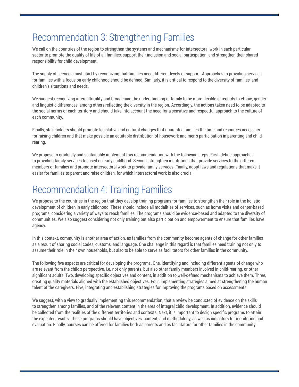### Recommendation 3: Strengthening Families

We call on the countries of the region to strengthen the systems and mechanisms for intersectoral work in each particular sector to promote the quality of life of all families, support their inclusion and social participation, and strengthen their shared responsibility for child development.

The supply of services must start by recognizing that families need different levels of support. Approaches to providing services for families with a focus on early childhood should be defined. Similarly, it is critical to respond to the diversity of families' and children's situations and needs.

We suggest recognizing interculturality and broadening the understanding of family to be more flexible in regards to ethnic, gender and linguistic differences, among others reflecting the diversity in the region. Accordingly, the actions taken need to be adapted to the social norms of each territory and should take into account the need for a sensitive and respectful approach to the culture of each community.

Finally, stakeholders should promote legislative and cultural changes that guarantee families the time and resources necessary for raising children and that make possible an equitable distribution of housework and men's participation in parenting and childrearing.

We propose to gradually and sustainably implement this recommendation with the following steps. First, define approaches to providing family services focused on early childhood. Second, strengthen institutions that provide services to the different members of families and promote intersectoral work to provide family services. Finally, adopt laws and regulations that make it easier for families to parent and raise children, for which intersectoral work is also crucial.

### Recommendation 4: Training Families

We propose to the countries in the region that they develop training programs for families to strengthen their role in the holistic development of children in early childhood. These should include all modalities of services, such as home visits and center-based programs, considering a variety of ways to reach families. The programs should be evidence-based and adapted to the diversity of communities. We also suggest considering not only training but also participation and empowerment to ensure that families have agency.

In this context, community is another area of action, as families from the community become agents of change for other families as a result of sharing social codes, customs, and language. One challenge in this regard is that families need training not only to assume their role in their own households, but also to be able to serve as facilitators for other families in the community.

The following five aspects are critical for developing the programs. One, identifying and including different agents of change who are relevant from the child's perspective, i.e. not only parents, but also other family members involved in child-rearing, or other significant adults. Two, developing specific objectives and content, in addition to well-defined mechanisms to achieve them. Three, creating quality materials aligned with the established objectives. Four, implementing strategies aimed at strengthening the human talent of the caregivers. Five, integrating and establishing strategies for improving the programs based on assessments.

We suggest, with a view to gradually implementing this recommendation, that a review be conducted of evidence on the skills to strengthen among families, and of the relevant content in the area of integral child development. In addition, evidence should be collected from the realities of the different territories and contexts. Next, it is important to design specific programs to attain the expected results. These programs should have objectives, content, and methodology, as well as indicators for monitoring and evaluation. Finally, courses can be offered for families both as parents and as facilitators for other families in the community.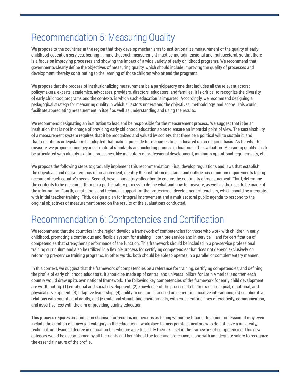## Recommendation 5: Measuring Quality

We propose to the countries in the region that they develop mechanisms to institutionalize measurement of the quality of early childhood education services, bearing in mind that such measurement must be multidimensional and multisectoral, so that there is a focus on improving processes and showing the impact of a wide variety of early childhood programs. We recommend that governments clearly define the objectives of measuring quality, which should include improving the quality of processes and development, thereby contributing to the learning of those children who attend the programs.

We propose that the process of institutionalizing measurement be a participatory one that includes all the relevant actors: policymakers, experts, academics, advocates, providers, directors, educators, and families. It is critical to recognize the diversity of early childhood programs and the contexts in which such education is imparted. Accordingly, we recommend designing a pedagogical strategy for measuring quality in which all actors understand the objectives, methodology, and scope. This would facilitate appreciating measurement in itself as well as understanding and using the results.

We recommend designating an institution to lead and be responsible for the measurement process. We suggest that it be an institution that is not in charge of providing early childhood education so as to ensure an impartial point of view. The sustainability of a measurement system requires that it be recognized and valued by society, that there be a political will to sustain it, and that regulations or legislation be adopted that make it possible for resources to be allocated on an ongoing basis. As for what to measure, we propose going beyond structural standards and including process indicators in the evaluation. Measuring quality has to be articulated with already-existing processes, like indicators of professional development, minimum operational requirements, etc.

We propose the following steps to gradually implement this recommendation: First, develop regulations and laws that establish the objectives and characteristics of measurement, identify the institution in charge and outline any minimum requirements taking account of each country's needs. Second, have a budgetary allocation to ensure the continuity of measurement. Third, determine the contents to be measured through a participatory process to define what and how to measure, as well as the uses to be made of the information. Fourth, create tools and technical support for the professional development of teachers, which should be integrated with initial teacher training. Fifth, design a plan for integral improvement and a multisectoral public agenda to respond to the original objectives of measurement based on the results of the evaluations conducted.

### Recommendation 6: Competencies and Certification

We recommend that the countries in the region develop a framework of competencies for those who work with children in early childhood, promoting a continuous and flexible system for training – both pre-service and in-service – and for certification of competencies that strengthens performance of the function. This framework should be included in a pre-service professional training curriculum and also be utilized in a flexible process for certifying competencies that does not depend exclusively on reforming pre-service training programs. In other words, both should be able to operate in a parallel or complementary manner.

In this context, we suggest that the framework of competencies be a reference for training, certifying competencies, and defining the profile of early childhood educators. It should be made up of central and universal pillars for Latin America; and then each country would draw up its own national framework. The following key competencies of the framework for early child development are worth noting: (1) emotional and social development, (2) knowledge of the process of children's neurological, emotional, and physical development, (3) adaptive leadership, (4) ability to use tools focused on generating positive interactions, (5) collaborative relations with parents and adults, and (6) safe and stimulating environments, with cross-cutting lines of creativity, communication, and assertiveness with the aim of providing quality education.

This process requires creating a mechanism for recognizing persons as falling within the broader teaching profession. It may even include the creation of a new job category in the educational workplace to incorporate educators who do not have a university, technical, or advanced degree in education but who are able to certify their skill set in the framework of competencies. This new category would be accompanied by all the rights and benefits of the teaching profession, along with an adequate salary to recognize the essential nature of the profile.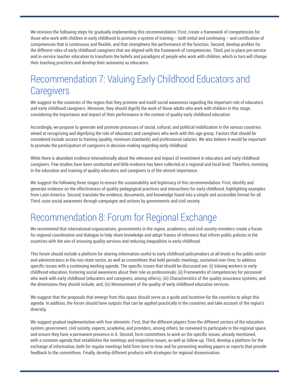We envision the following steps for gradually implementing this recommendation: First, create a framework of competencies for those who work with children in early childhood to promote a system of training – both initial and continuing – and certification of competencies that is continuous and flexible, and that strengthens the performance of the function. Second, develop profiles for the different roles of early childhood caregivers that are aligned with the framework of competencies. Third, put in place pre-service and in-service teacher education to transform the beliefs and paradigms of people who work with children, which in turn will change their teaching practices and develop their autonomy as educators.

#### Recommendation 7: Valuing Early Childhood Educators and **Caregivers**

We suggest to the countries of the region that they promote and instill social awareness regarding the important role of educators and early childhood caregivers. Moreover, they should dignify the work of those adults who work with children in this stage, considering the importance and impact of their performance in the context of quality early childhood education.

Accordingly, we propose to generate and promote processes of social, cultural, and political mobilization in the various countries aimed at recognizing and dignifying the role of educators and caregivers who work with this age group. Factors that should be considered include access to training (quality, minimum standards) and professional salaries. We also believe it would be important to promote the participation of caregivers in decision-making regarding early childhood.

While there is abundant evidence internationally about the relevance and impact of investment in educators and early childhood caregivers. Few studies have been conducted and little evidence has been collected at a regional and local level. Therefore, investing in the education and training of quality educators and caregivers is of the utmost importance.

We suggest the following three stages to ensure the sustainability and legitimacy of this recommendation. First, identify and generate evidence on the effectiveness of quality pedagogical practices and interactions for early childhood, highlighting examples from Latin America. Second, translate the evidence, documents, and knowledge found into a simple and accessible format for all. Third, raise social awareness through campaigns and actions by governments and civil society.

### Recommendation 8: Forum for Regional Exchange

We recommend that international organizations, governments in the region, academics, and civil society members create a forum for regional coordination and dialogue to help share knowledge and adopt frames of reference that inform public policies in the countries with the aim of ensuring quality services and reducing inequalities in early childhood.

This forum should include a platform for sharing information useful to early childhood policymakers at all levels in the public sector and administrators in the non-state sector, as well as committees that hold periodic meetings, sustained over time, to address specific issues with a continuing working agenda. The specific issues that should be discussed are: (i) Valuing workers in early childhood education, fostering social awareness about their role as professionals; (ii) Frameworks of competencies for personnel who work with early childhood (educators and caregivers, among others); (iii) Characteristics of the quality assurance systems, and the dimensions they should include; and, (iv) Measurement of the quality of early childhood education services.

We suggest that the proposals that emerge from this space should serve as a guide and incentive for the countries to adopt this agenda. In addition, the forum should have outputs that can be applied practically in the countries and take account of the region's diversity.

We suggest gradual implementation with four elements: First, that the different players from the different sectors of the education system, government, civil society, experts, academia, and providers, among others, be convened to participate in the regional space, and ensure they have a permanent presence in it. Second, form committees to work on the specific issues, already mentioned, with a common agenda that establishes the meetings and respective issues, as well as follow-up. Third, develop a platform for the exchange of information, both for regular meetings held from time to time and for presenting working papers or reports that provide feedback to the committees. Finally, develop different products with strategies for regional dissemination.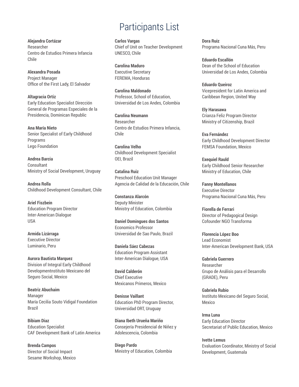**Alejandra Cortázar**  Researcher Centro de Estudios Primera Infancia Chile

**Alexandra Posada**  Project Manager Office of the First Lady, El Salvador

**Altagracia Ortiz**  Early Education Specialist Dirección General de Programas Especiales de la Presidencia, Dominican Republic

**Ana María Nieto**  Senior Specialist of Early Childhood Programs Lego Foundation

**Andrea Barcia Consultant** Ministry of Social Development, Uruguay

**Andrea Rolla**  Childhood Development Consultant, Chile

**Ariel Fiszbein**  Education Program Director Inter-American Dialogue USA

**Armida Lizárraga**  Executive Director Luminario, Peru

**Aurora Bautista Marquez**  Division of Integral Early Childhood Developmentnstituto Mexicano del Seguro Social, Mexico

**Beatriz Abuchaim** Manager María Cecilia Souto Vidigal Foundation Brazil

**Bibiam Diaz**  Education Specialist CAF Development Bank of Latin America

**Brenda Campos**  Director of Social Impact Sesame Workshop, Mexico

#### Participants List

**Carlos Vargas**  Chief of Unit on Teacher Development UNESCO, Chile

**Carolina Maduro**  Executive Secretary FEREMA, Honduras

**Carolina Maldonado**  Professor, School of Education, Universidad de Los Andes, Colombia

**Carolina Neumann**  Researcher Centro de Estudios Primera Infancia, Chile

**Carolina Velho**  Childhood Development Specialist OEI, Brazil

**Catalina Ruiz**  Preschool Education Unit Manager Agencia de Calidad de la Educación, Chile

**Constanza Alarcón** Deputy Minister Ministry of Education, Colombia

**Daniel Domingues dos Santos**  Economics Professor Universidad de Sao Paulo, Brazil

**Daniela Sáez Cabezas** Education Program Assistant Inter-American Dialogue, USA

**David Calderón**  Chief Executive Mexicanos Primeros, Mexico

**Denisse Vaillant**  Education PhD Program Director, Universidad ORT, Uruguay

**Diana Ibeth Urueña Mariño**  Consejería Presidencial de Niñez y Adolescencia, Colombia

**Diego Pardo**  Ministry of Education, Colombia

**Dora Ruiz**  Programa Nacional Cuna Más, Peru

**Eduardo Escallón** Dean of the School of Education Universidad de Los Andes, Colombia

**Eduardo Queiroz**  Vicepresident for Latin America and Caribbean Region, United Way

**Ely Harasawa**  Crianza Feliz Program Director Ministry of Citizenship, Brazil

**Eva Fernández**  Early Childhood Development Director FEMSA Foundation, Mexico

**Exequiel Rauld**  Early Childhood Senior Researcher Ministry of Education, Chile

**Fanny Montellanos**  Executive Director Programa Nacional Cuna Más, Peru

**Fiorella de Ferrari**  Director of Pedagogical Design Cofounder NGO Transforma

**Florencia López Boo**  Lead Economist Inter-American Development Bank, USA

**Gabriela Guerrero**  Researcher Grupo de Análisis para el Desarrollo (GRADE), Peru

**Gabriela Rubio**  Instituto Mexicano del Seguro Social, Mexico

**Irma Luna**  Early Education Director Secretariat of Public Education, Mexico

**Ivette Lemus**  Evaluation Coordinator, Ministry of Social Development, Guatemala